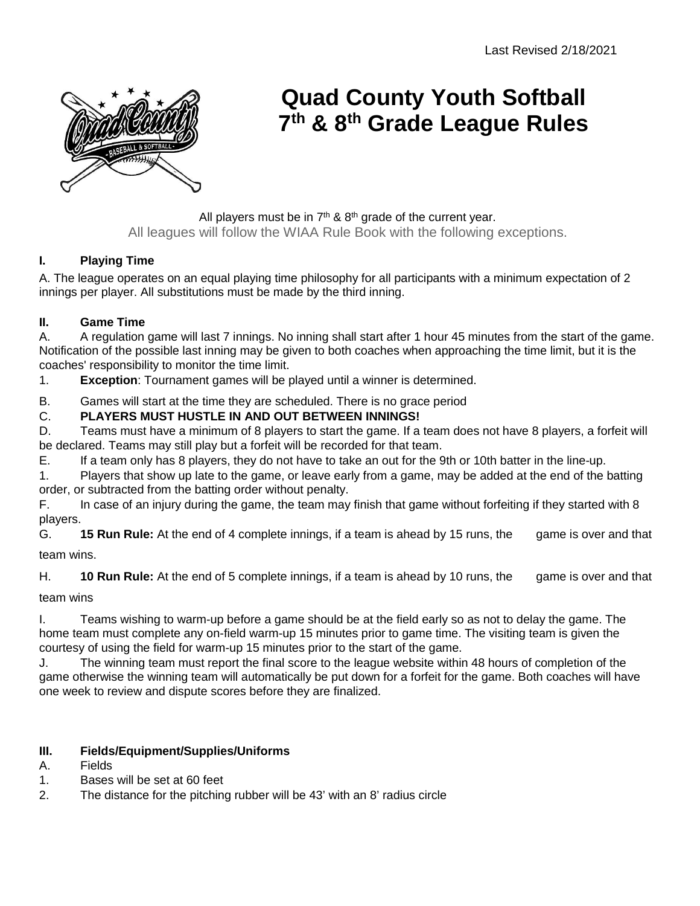

# **Quad County Youth Softball 7th & 8th Grade League Rules**

All players must be in  $7<sup>th</sup>$  &  $8<sup>th</sup>$  grade of the current year. All leagues will follow the WIAA Rule Book with the following exceptions.

# **I. Playing Time**

A. The league operates on an equal playing time philosophy for all participants with a minimum expectation of 2 innings per player. All substitutions must be made by the third inning.

## **II. Game Time**

A. A regulation game will last 7 innings. No inning shall start after 1 hour 45 minutes from the start of the game. Notification of the possible last inning may be given to both coaches when approaching the time limit, but it is the coaches' responsibility to monitor the time limit.

1. **Exception**: Tournament games will be played until a winner is determined.

B. Games will start at the time they are scheduled. There is no grace period

# C. **PLAYERS MUST HUSTLE IN AND OUT BETWEEN INNINGS!**

D. Teams must have a minimum of 8 players to start the game. If a team does not have 8 players, a forfeit will be declared. Teams may still play but a forfeit will be recorded for that team.

E. If a team only has 8 players, they do not have to take an out for the 9th or 10th batter in the line-up.

1. Players that show up late to the game, or leave early from a game, may be added at the end of the batting order, or subtracted from the batting order without penalty.

F. In case of an injury during the game, the team may finish that game without forfeiting if they started with 8 players.

G. **15 Run Rule:** At the end of 4 complete innings, if a team is ahead by 15 runs, the game is over and that team wins.

H. **10 Run Rule:** At the end of 5 complete innings, if a team is ahead by 10 runs, the game is over and that

team wins

I. Teams wishing to warm-up before a game should be at the field early so as not to delay the game. The home team must complete any on-field warm-up 15 minutes prior to game time. The visiting team is given the courtesy of using the field for warm-up 15 minutes prior to the start of the game.

J. The winning team must report the final score to the league website within 48 hours of completion of the game otherwise the winning team will automatically be put down for a forfeit for the game. Both coaches will have one week to review and dispute scores before they are finalized.

## **III. Fields/Equipment/Supplies/Uniforms**

- A. Fields
- 1. Bases will be set at 60 feet
- 2. The distance for the pitching rubber will be 43' with an 8' radius circle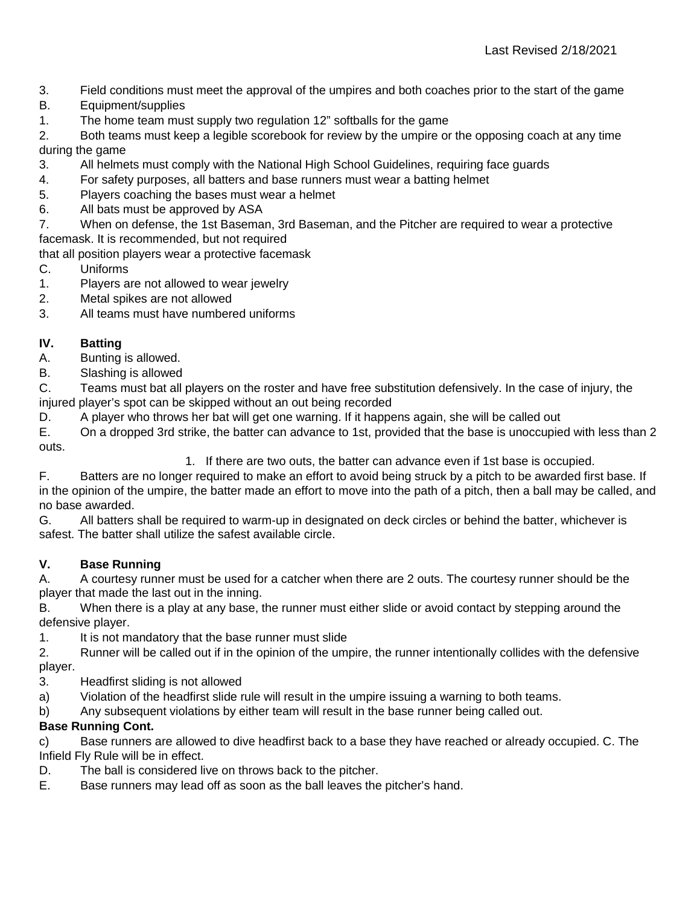- 3. Field conditions must meet the approval of the umpires and both coaches prior to the start of the game
- B. Equipment/supplies
- 1. The home team must supply two regulation 12" softballs for the game

2. Both teams must keep a legible scorebook for review by the umpire or the opposing coach at any time during the game

- 3. All helmets must comply with the National High School Guidelines, requiring face guards
- 4. For safety purposes, all batters and base runners must wear a batting helmet
- 5. Players coaching the bases must wear a helmet
- 6. All bats must be approved by ASA
- 7. When on defense, the 1st Baseman, 3rd Baseman, and the Pitcher are required to wear a protective facemask. It is recommended, but not required

that all position players wear a protective facemask

- C. Uniforms
- 1. Players are not allowed to wear jewelry
- 2. Metal spikes are not allowed
- 3. All teams must have numbered uniforms

# **IV. Batting**

Bunting is allowed.

B. Slashing is allowed

C. Teams must bat all players on the roster and have free substitution defensively. In the case of injury, the injured player's spot can be skipped without an out being recorded

D. A player who throws her bat will get one warning. If it happens again, she will be called out

E. On a dropped 3rd strike, the batter can advance to 1st, provided that the base is unoccupied with less than 2 outs.

1. If there are two outs, the batter can advance even if 1st base is occupied.

F. Batters are no longer required to make an effort to avoid being struck by a pitch to be awarded first base. If in the opinion of the umpire, the batter made an effort to move into the path of a pitch, then a ball may be called, and no base awarded.

G. All batters shall be required to warm-up in designated on deck circles or behind the batter, whichever is safest. The batter shall utilize the safest available circle.

## **V. Base Running**

A. A courtesy runner must be used for a catcher when there are 2 outs. The courtesy runner should be the player that made the last out in the inning.

B. When there is a play at any base, the runner must either slide or avoid contact by stepping around the defensive player.

1. It is not mandatory that the base runner must slide

2. Runner will be called out if in the opinion of the umpire, the runner intentionally collides with the defensive player.

- 3. Headfirst sliding is not allowed
- a) Violation of the headfirst slide rule will result in the umpire issuing a warning to both teams.

b) Any subsequent violations by either team will result in the base runner being called out.

## **Base Running Cont.**

c) Base runners are allowed to dive headfirst back to a base they have reached or already occupied. C. The Infield Fly Rule will be in effect.

- D. The ball is considered live on throws back to the pitcher.
- E. Base runners may lead off as soon as the ball leaves the pitcher's hand.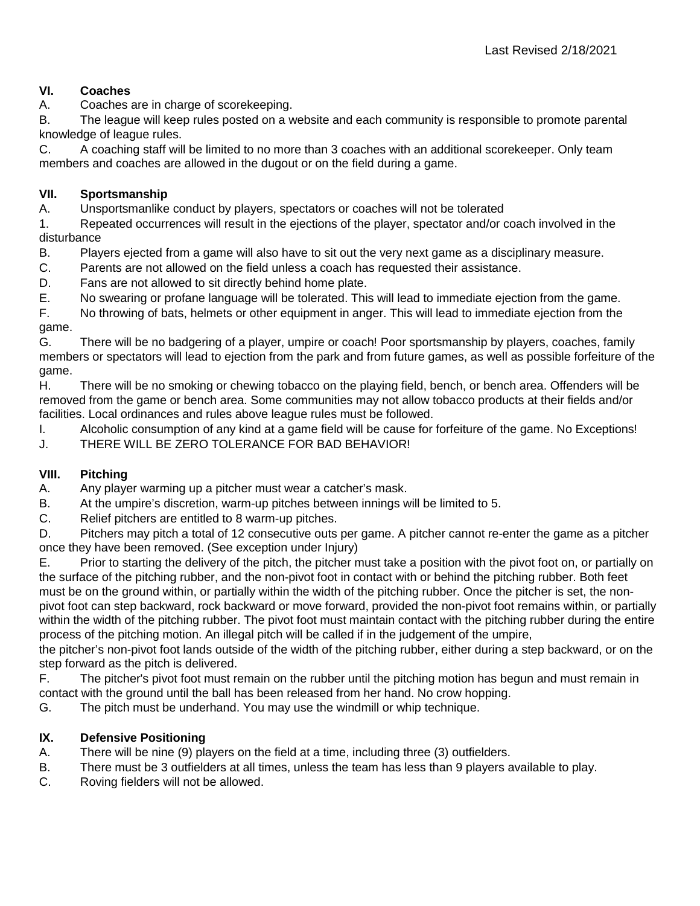## **VI. Coaches**

A. Coaches are in charge of scorekeeping.

B. The league will keep rules posted on a website and each community is responsible to promote parental knowledge of league rules.

C. A coaching staff will be limited to no more than 3 coaches with an additional scorekeeper. Only team members and coaches are allowed in the dugout or on the field during a game.

#### **VII. Sportsmanship**

A. Unsportsmanlike conduct by players, spectators or coaches will not be tolerated

1. Repeated occurrences will result in the ejections of the player, spectator and/or coach involved in the disturbance

B. Players ejected from a game will also have to sit out the very next game as a disciplinary measure.

C. Parents are not allowed on the field unless a coach has requested their assistance.

D. Fans are not allowed to sit directly behind home plate.

E. No swearing or profane language will be tolerated. This will lead to immediate ejection from the game.

F. No throwing of bats, helmets or other equipment in anger. This will lead to immediate ejection from the game.

G. There will be no badgering of a player, umpire or coach! Poor sportsmanship by players, coaches, family members or spectators will lead to ejection from the park and from future games, as well as possible forfeiture of the game.

H. There will be no smoking or chewing tobacco on the playing field, bench, or bench area. Offenders will be removed from the game or bench area. Some communities may not allow tobacco products at their fields and/or facilities. Local ordinances and rules above league rules must be followed.

I. Alcoholic consumption of any kind at a game field will be cause for forfeiture of the game. No Exceptions!

J. THERE WILL BE ZERO TOLERANCE FOR BAD BEHAVIOR!

## **VIII. Pitching**

A. Any player warming up a pitcher must wear a catcher's mask.

B. At the umpire's discretion, warm-up pitches between innings will be limited to 5.

C. Relief pitchers are entitled to 8 warm-up pitches.

D. Pitchers may pitch a total of 12 consecutive outs per game. A pitcher cannot re-enter the game as a pitcher once they have been removed. (See exception under Injury)

E. Prior to starting the delivery of the pitch, the pitcher must take a position with the pivot foot on, or partially on the surface of the pitching rubber, and the non-pivot foot in contact with or behind the pitching rubber. Both feet must be on the ground within, or partially within the width of the pitching rubber. Once the pitcher is set, the nonpivot foot can step backward, rock backward or move forward, provided the non-pivot foot remains within, or partially within the width of the pitching rubber. The pivot foot must maintain contact with the pitching rubber during the entire

process of the pitching motion. An illegal pitch will be called if in the judgement of the umpire, the pitcher's non-pivot foot lands outside of the width of the pitching rubber, either during a step backward, or on the step forward as the pitch is delivered.

F. The pitcher's pivot foot must remain on the rubber until the pitching motion has begun and must remain in contact with the ground until the ball has been released from her hand. No crow hopping.

G. The pitch must be underhand. You may use the windmill or whip technique.

## **IX. Defensive Positioning**

- A. There will be nine (9) players on the field at a time, including three (3) outfielders.
- B. There must be 3 outfielders at all times, unless the team has less than 9 players available to play.
- C. Roving fielders will not be allowed.